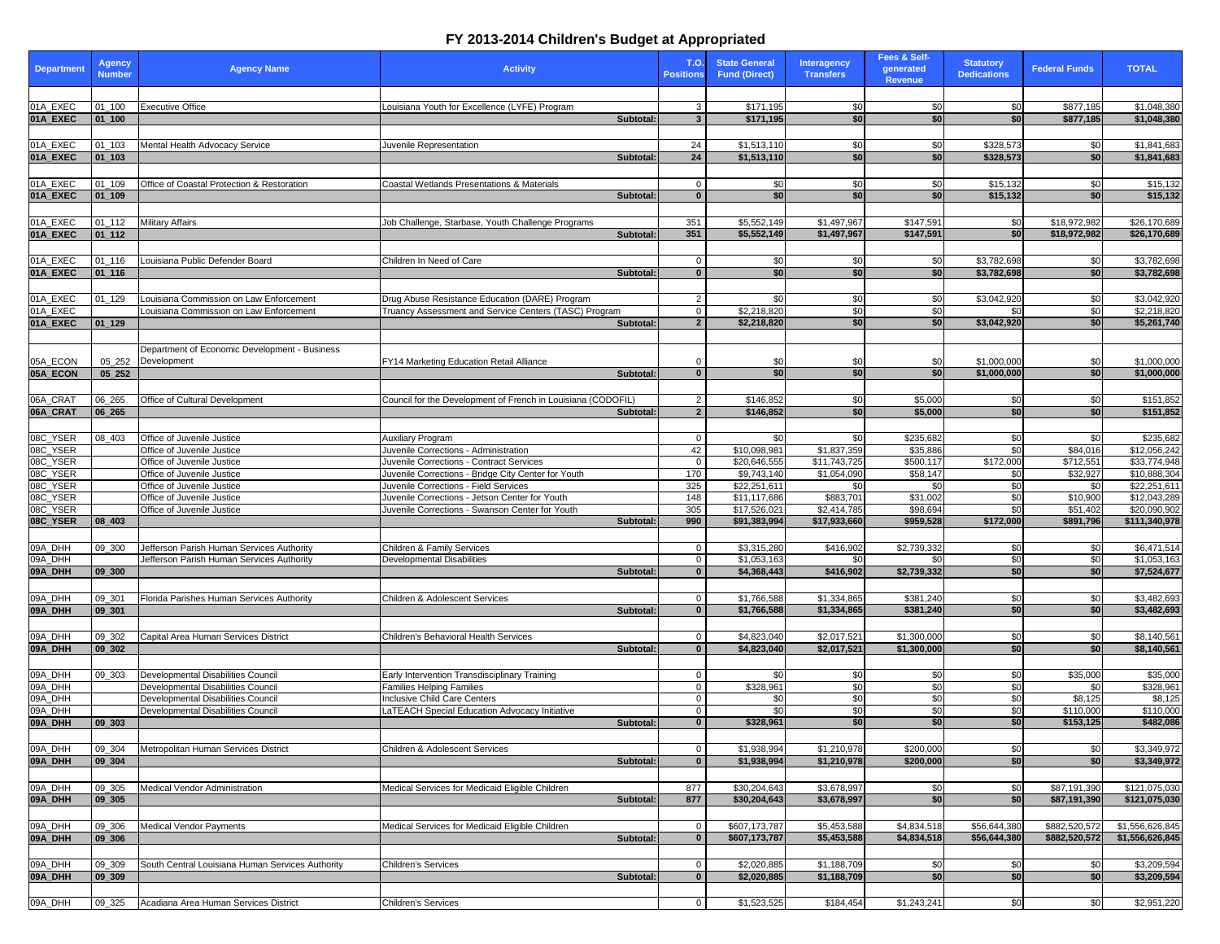| <b>Department</b>                  | <b>Agency</b><br><b>Number</b> | <b>Agency Name</b>                                                  | <b>Activity</b>                                                                                   | <b>T.O.</b><br><b>Positions</b> | <b>State General</b><br><b>Fund (Direct)</b> | <b>Interagency</b><br><b>Transfers</b> | Fees & Self-<br>generated<br><b>Revenue</b> | <b>Statutory</b><br><b>Dedications</b> | <b>Federal Funds</b>   | <b>TOTAL</b>                 |
|------------------------------------|--------------------------------|---------------------------------------------------------------------|---------------------------------------------------------------------------------------------------|---------------------------------|----------------------------------------------|----------------------------------------|---------------------------------------------|----------------------------------------|------------------------|------------------------------|
|                                    |                                |                                                                     |                                                                                                   |                                 |                                              |                                        |                                             |                                        |                        |                              |
| 01A_EXEC<br>01A EXEC               | $01_100$<br>$ 01$ 100          | <b>Executive Office</b>                                             | Louisiana Youth for Excellence (LYFE) Program<br>Subtotal:                                        | 3<br>$\mathbf{3}$               | \$171,195<br>\$171,195                       | -\$0<br>\$0                            | \$0<br>\$0 <sub>l</sub>                     | \$0<br>\$0                             | \$877,185<br>\$877,185 | \$1,048,380<br>\$1,048,380   |
|                                    |                                |                                                                     |                                                                                                   |                                 |                                              |                                        |                                             |                                        |                        |                              |
| 01A_EXEC                           | $ 01_103 $                     | Mental Health Advocacy Service                                      | Juvenile Representation                                                                           | 24                              | \$1,513,110                                  | -\$0                                   | <b>\$01</b>                                 | \$328,573                              | \$0                    | \$1,841,683                  |
| 01A EXEC                           | $ 01_103 $                     |                                                                     | Subtotal:                                                                                         | 24                              | \$1,513,110                                  | \$0                                    | \$0                                         | \$328,573                              | \$0                    | \$1,841,683                  |
|                                    |                                |                                                                     |                                                                                                   |                                 |                                              |                                        |                                             |                                        |                        |                              |
| 01A_EXEC<br>01A_EXEC               | $01 - 109$<br>$ 01$ 109        | Office of Coastal Protection & Restoration                          | <b>Coastal Wetlands Presentations &amp; Materials</b><br>Subtotal:                                | 0<br>$\Omega$                   | \$0<br>\$0                                   | -\$0<br>\$0                            | \$0<br>\$0                                  | \$15,132<br>\$15,132                   | \$0<br>\$0             | \$15,132<br>\$15,132         |
|                                    |                                |                                                                     |                                                                                                   |                                 |                                              |                                        |                                             |                                        |                        |                              |
| $01A$ <sup><math>EXEC</math></sup> | $01_112$                       | <b>Military Affairs</b>                                             | Job Challenge, Starbase, Youth Challenge Programs                                                 | 351                             | \$5,552,149                                  | \$1,497,967                            | \$147,591                                   | \$0                                    | \$18,972,982           | \$26,170,689                 |
| 01A_EXEC                           | 01 112                         |                                                                     | Subtotal:                                                                                         | 351                             | \$5,552,149                                  | \$1,497,967                            | \$147,591                                   | \$0 <sub>l</sub>                       | \$18,972,982           | \$26,170,689                 |
|                                    |                                |                                                                     |                                                                                                   |                                 |                                              |                                        |                                             |                                        |                        |                              |
| 01A_EXEC                           | $01_116$                       | Louisiana Public Defender Board                                     | Children In Need of Care                                                                          |                                 | \$0                                          | -\$0                                   | \$0                                         | \$3,782,698                            | \$0                    | \$3,782,698                  |
| 01A_EXEC                           | $ 01_116 $                     |                                                                     | Subtotal:                                                                                         | $\mathbf{0}$                    | \$0                                          | \$0                                    | \$0                                         | \$3,782,698                            | \$0 <sub>1</sub>       | \$3,782,698                  |
| 01A_EXEC                           | 01_129                         | Louisiana Commission on Law Enforcement                             | Drug Abuse Resistance Education (DARE) Program                                                    | $\mathcal{P}$                   | \$0                                          | -\$0                                   | \$0 <sub>1</sub>                            | \$3,042,920                            | \$0                    | \$3,042,920                  |
| 01A_EXEC                           |                                | Louisiana Commission on Law Enforcement                             | Truancy Assessment and Service Centers (TASC) Program                                             | $\Omega$                        | \$2,218,820                                  | \$0                                    | \$0                                         | \$0                                    | \$0                    | \$2,218,820                  |
| 01A_EXEC                           | $ 01_129 $                     |                                                                     | Subtotal:                                                                                         | $\overline{2}$                  | \$2,218,820                                  | \$0                                    | \$0                                         | \$3,042,920                            | \$0                    | \$5,261,740                  |
|                                    |                                |                                                                     |                                                                                                   |                                 |                                              |                                        |                                             |                                        |                        |                              |
| 05A_ECON                           |                                | Department of Economic Development - Business<br>05_252 Development | FY14 Marketing Education Retail Alliance                                                          |                                 | \$(                                          | \$                                     | \$0                                         | \$1,000,000                            | \$0                    | \$1,000,000                  |
| 05A_ECON                           | 05 252                         |                                                                     | Subtotal:                                                                                         | $\Omega$                        | \$0                                          | \$0                                    | \$0                                         | \$1,000,000                            | \$0                    | \$1,000,000                  |
|                                    |                                |                                                                     |                                                                                                   |                                 |                                              |                                        |                                             |                                        |                        |                              |
| 06A_CRAT                           | $06 - 265$                     | Office of Cultural Development                                      | Council for the Development of French in Louisiana (CODOFIL)                                      | $\overline{2}$                  | $\overline{\$146,852}$                       | \$0                                    | \$5,000                                     | \$0                                    | \$0                    | \$151,852                    |
| 06A_CRAT                           | $ 06 \t265$                    |                                                                     | Subtotal:                                                                                         | $\overline{2}$                  | \$146,852                                    | \$0                                    | \$5,000                                     | \$0                                    | \$0                    | \$151,852                    |
| 08C_YSER                           | 08_403                         | Office of Juvenile Justice                                          | <b>Auxiliary Program</b>                                                                          | $\Omega$                        | \$0                                          | \$0                                    | \$235,682                                   | \$0                                    | \$0                    | \$235,682                    |
| 08C_YSER                           |                                | Office of Juvenile Justice                                          | Juvenile Corrections - Administration                                                             | 42                              | \$10,098,981                                 | \$1,837,359                            | \$35,886                                    | \$0                                    | \$84,016               | \$12,056,242                 |
| 08C_YSER                           |                                | Office of Juvenile Justice                                          | Juvenile Corrections - Contract Services                                                          | $\Omega$                        | \$20,646,555                                 | \$11,743,725                           | \$500,117                                   | \$172,000                              | \$712,551              | \$33,774,948                 |
| 08C_YSER                           |                                | Office of Juvenile Justice                                          | Juvenile Corrections - Bridge City Center for Youth                                               | 170                             | \$9,743,140                                  | \$1,054,090                            | \$58,147                                    | \$0                                    | \$32,927               | \$10,888,304                 |
| 08C_YSER                           |                                | Office of Juvenile Justice                                          | Juvenile Corrections - Field Services                                                             | 325                             | \$22,251,611                                 | -\$0                                   | \$0 <sub>1</sub>                            | \$0                                    | \$0                    | \$22,251,611                 |
| 08C_YSER<br>08C_YSER               |                                | Office of Juvenile Justice<br>Office of Juvenile Justice            | Juvenile Corrections - Jetson Center for Youth<br>Juvenile Corrections - Swanson Center for Youth | 148<br>305                      | \$11,117,686<br>\$17,526,021                 | \$883,701<br>\$2,414,785               | \$31,002<br>$\sqrt{$98,694}$                | \$0<br>$\overline{\mathbf{S}}$         | \$10,900<br>\$51,402   | \$12,043,289<br>\$20,090,902 |
| 08C_YSER                           | $ 08_403$                      |                                                                     | Subtotal:                                                                                         | 990                             | \$91,383,994                                 | \$17,933,660                           | \$959,528                                   | \$172,000                              | \$891,796              | \$111,340,978                |
|                                    |                                |                                                                     |                                                                                                   |                                 |                                              |                                        |                                             |                                        |                        |                              |
| 09A_DHH                            | 09_300                         | Jefferson Parish Human Services Authority                           | Children & Family Services                                                                        |                                 | \$3,315,280                                  | \$416,902                              | \$2,739,332                                 | \$0                                    | \$0                    | \$6,471,514                  |
| 09A_DHH<br>09A_DHH                 | 09 300                         | Jefferson Parish Human Services Authority                           | Developmental Disabilities<br>Subtotal:                                                           |                                 | \$1,053,163<br>\$4,368,443                   | -\$0<br>\$416,902                      | \$2,739,332                                 | \$0<br>\$0]                            | \$0<br>\$0             | \$1,053,163                  |
|                                    |                                |                                                                     |                                                                                                   |                                 |                                              |                                        |                                             |                                        |                        | \$7,524,677                  |
| 09A_DHH                            | 09_301                         | Florida Parishes Human Services Authority                           | Children & Adolescent Services                                                                    | 0                               | \$1,766,588                                  | \$1,334,865                            | \$381,240                                   | \$0                                    | \$0                    | \$3,482,693                  |
| 09A_DHH                            | $ 09$ _301                     |                                                                     | Subtotal:                                                                                         | $\bf{0}$                        | \$1,766,588                                  | \$1,334,865                            | \$381,240                                   | \$0                                    | \$0                    | \$3,482,693                  |
|                                    |                                |                                                                     |                                                                                                   |                                 |                                              |                                        |                                             |                                        |                        |                              |
| 09A_DHH                            | 09_302                         | Capital Area Human Services District                                | Children's Behavioral Health Services                                                             | $\mathbf{0}$                    | \$4,823,040                                  | \$2,017,521                            | \$1,300,000                                 | \$0                                    | \$0                    | \$8,140,561                  |
| 09A_DHH                            | 09 302                         |                                                                     | Subtotal:                                                                                         | $\Omega$                        | \$4,823,040                                  | \$2,017,521                            | \$1,300,000                                 | \$0                                    | \$0                    | \$8,140,561                  |
| 09A_DHH                            | 09_303                         | Developmental Disabilities Council                                  | Early Intervention Transdisciplinary Training                                                     | $\Omega$                        | \$0                                          | -\$0                                   | \$0                                         | \$0                                    | \$35,000               | \$35,000                     |
| 09A_DHH                            |                                | Developmental Disabilities Council                                  | <b>Families Helping Families</b>                                                                  | $\Omega$                        | \$328,961                                    | -\$0                                   | \$0                                         | \$0                                    | \$0                    | \$328,961                    |
| 09A_DHH                            |                                | Developmental Disabilities Council                                  | Inclusive Child Care Centers                                                                      | 0                               | \$0                                          | \$0                                    | \$0                                         | $\sqrt{30}$                            | \$8,125                | \$8,125                      |
| 09A_DHH                            |                                | Developmental Disabilities Council                                  | <b>ATEACH Special Education Advocacy Initiative</b>                                               | $\mathbf{0}$                    | \$0                                          | \$0<br>\$0                             | \$0<br>\$0                                  | \$0<br>\$0                             | \$110,000              | \$110,000                    |
| 09A_DHH                            | $ 09_303 $                     |                                                                     | Subtotal:                                                                                         |                                 | \$328,961                                    |                                        |                                             |                                        | \$153,125              | \$482,086                    |
| 09A_DHH                            | 09_304                         | Metropolitan Human Services District                                | Children & Adolescent Services                                                                    | 0                               | \$1,938,994                                  | \$1,210,978                            | \$200,000                                   | \$0                                    | \$0                    | \$3,349,972                  |
| 09A_DHH                            | $ 09_304$                      |                                                                     | Subtotal:                                                                                         | $\Omega$                        | \$1,938,994                                  | \$1,210,978                            | \$200,000                                   | \$0                                    | \$0                    | \$3,349,972                  |
|                                    |                                |                                                                     |                                                                                                   |                                 |                                              |                                        |                                             |                                        |                        |                              |
| 09A_DHH                            | 09_305                         | Medical Vendor Administration                                       | Medical Services for Medicaid Eligible Children                                                   | 877                             | \$30,204,643                                 | \$3,678,997                            | \$0                                         | \$0                                    | \$87,191,390           | \$121,075,030                |
| 09A_DHH                            | 09, 305                        |                                                                     | Subtotal:                                                                                         | 877                             | \$30,204,643                                 | \$3,678,997                            | \$0                                         | \$0                                    | \$87,191,390           | \$121,075,030                |
| 09A_DHH                            | 09_306                         | <b>Medical Vendor Payments</b>                                      | Medical Services for Medicaid Eligible Children                                                   | 0                               | \$607,173,787                                | \$5,453,588                            | \$4,834,518                                 | \$56,644,380                           | \$882,520,572          | \$1,556,626,845              |
| 09A_DHH                            | $ 09$ 306                      |                                                                     | Subtotal:                                                                                         |                                 | \$607,173,787                                | \$5,453,588                            | \$4,834,518                                 | \$56,644,380                           | \$882,520,572          | \$1,556,626,845              |
|                                    |                                |                                                                     |                                                                                                   |                                 |                                              |                                        |                                             |                                        |                        |                              |
| 09A_DHH                            | 09_309                         | South Central Louisiana Human Services Authority                    | Children's Services                                                                               | $\mathbf{0}$                    | \$2,020,885                                  | \$1,188,709                            | \$0                                         | \$0                                    | \$0                    | \$3,209,594                  |
| 09A_DHH                            | 09, 309                        |                                                                     | Subtotal:                                                                                         | $\mathbf{0}$                    | \$2,020,885                                  | \$1,188,709                            | \$0                                         | \$0                                    | \$0 <sub>1</sub>       | \$3,209,594                  |
|                                    |                                |                                                                     |                                                                                                   |                                 |                                              |                                        |                                             |                                        |                        |                              |
| 09A_DHH                            | $09 - 325$                     | Acadiana Area Human Services District                               | Children's Services                                                                               | $\overline{0}$                  | \$1,523,525                                  | \$184,454                              | \$1,243,241                                 | $\frac{1}{2}$                          | \$0                    | \$2,951,220                  |

## **FY 2013-2014 Children's Budget at Appropriated**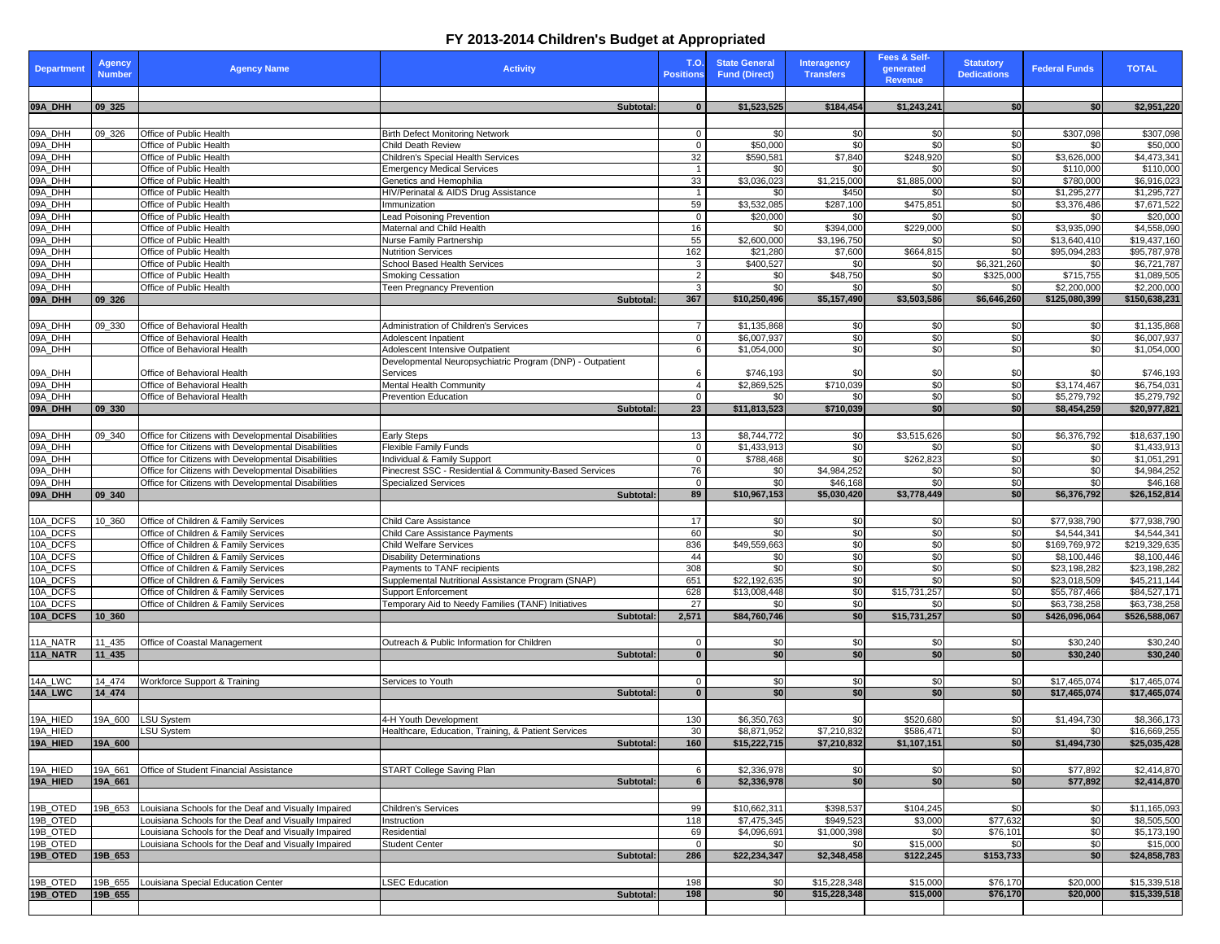## **FY 2013-2014 Children's Budget at Appropriated**

| <b>Department</b>  | <b>Agency</b><br><b>Number</b> | <b>Agency Name</b>                                         | <b>Activity</b>                                                            | <b>T.O.</b><br><b>Positions</b> | <b>State General</b><br><b>Fund (Direct)</b> | <b>Interagency</b><br><b>Transfers</b> | Fees & Self-<br>generated<br><b>Revenue</b> | <b>Statutory</b><br><b>Dedications</b> | <b>Federal Funds</b>         | <b>TOTAL</b>                 |
|--------------------|--------------------------------|------------------------------------------------------------|----------------------------------------------------------------------------|---------------------------------|----------------------------------------------|----------------------------------------|---------------------------------------------|----------------------------------------|------------------------------|------------------------------|
| 09A_DHH            | $ 09 \ 325$                    |                                                            | Subtotal:                                                                  | $\mathbf{0}$                    |                                              |                                        |                                             | \$0                                    | \$0 <sub>1</sub>             |                              |
|                    |                                |                                                            |                                                                            |                                 | \$1,523,525                                  | \$184,454                              | \$1,243,241                                 |                                        |                              | \$2,951,220                  |
| 09A_DHH            | 09_326                         | <b>Office of Public Health</b>                             | <b>Birth Defect Monitoring Network</b>                                     |                                 | \$0                                          | \$0                                    | \$0                                         | \$0                                    | \$307,098                    | \$307,098                    |
| 09A_DHH            |                                | Office of Public Health                                    | <b>Child Death Review</b>                                                  | $\Omega$                        | \$50,000                                     | \$0                                    | \$0                                         | $\sqrt{6}$                             | \$0                          | \$50,000                     |
| 09A_DHH            |                                | Office of Public Health                                    | Children's Special Health Services                                         | 32                              | \$590,581                                    | \$7,840                                | \$248,920                                   | \$0                                    | \$3,626,000                  | \$4,473,341                  |
| 09A_DHH            |                                | Office of Public Health                                    | <b>Emergency Medical Services</b>                                          |                                 | \$0                                          | \$0                                    | \$0                                         | $\sqrt{6}$                             | \$110,000                    | \$110,000                    |
| 09A_DHH<br>09A_DHH |                                | Office of Public Health<br>Office of Public Health         | Genetics and Hemophilia<br><b>HIV/Perinatal &amp; AIDS Drug Assistance</b> | 33<br>$\overline{1}$            | \$3,036,023<br>\$0                           | \$1,215,000<br>\$450                   | \$1,885,000<br>\$0                          | \$0<br>$\sqrt{6}$                      | \$780,000<br>\$1,295,277     | \$6,916,023<br>\$1,295,727   |
| 09A_DHH            |                                | Office of Public Health                                    | Immunization                                                               | 59                              | \$3,532,085                                  | \$287,100                              | \$475,851                                   | \$0                                    | \$3,376,486                  | \$7,671,522                  |
| 09A_DHH            |                                | Office of Public Health                                    | <b>Lead Poisoning Prevention</b>                                           | $\overline{0}$                  | \$20,000                                     | -\$0                                   | \$0                                         | $\overline{30}$                        | \$0                          | \$20,000                     |
| 09A_DHH            |                                | Office of Public Health                                    | Maternal and Child Health                                                  | 16                              | \$0                                          | \$394,000                              | \$229,000                                   | \$0                                    | \$3,935,090                  | \$4,558,090                  |
| 09A_DHH            |                                | Office of Public Health                                    | <b>Nurse Family Partnership</b>                                            | 55                              | \$2,600,000                                  | \$3,196,750                            | \$0                                         | $\sqrt{6}$                             | \$13,640,410                 | \$19,437,160                 |
| 09A_DHH            |                                | Office of Public Health                                    | <b>Nutrition Services</b>                                                  | 162                             | \$21,280                                     | \$7,600                                | \$664,815                                   | \$0                                    | \$95,094,283                 | \$95,787,978                 |
| 09A_DHH            |                                | Office of Public Health                                    | <b>School Based Health Services</b>                                        | 3                               | \$400,527                                    | -SO                                    | \$0                                         | \$6,321,260                            | \$0                          | \$6,721,787                  |
| 09A_DHH            |                                | Office of Public Health                                    | <b>Smoking Cessation</b>                                                   | 2                               | \$0                                          | \$48,750                               | \$0                                         | \$325,000                              | \$715,755                    | \$1,089,505                  |
| 09A_DHH<br>09A_DHH |                                | Office of Public Health                                    | <b>Teen Pregnancy Prevention</b>                                           | 3                               | $\overline{30}$                              | \$0                                    | $\frac{6}{5}$                               | $\sqrt{6}$                             | \$2,200,000                  | \$2,200,000                  |
|                    | $ 09 \t326$                    |                                                            | Subtotal:                                                                  | 367                             | \$10,250,496                                 | \$5,157,490                            | \$3,503,586                                 | \$6,646,260                            | \$125,080,399                | \$150,638,231                |
|                    |                                |                                                            |                                                                            |                                 |                                              |                                        |                                             |                                        |                              |                              |
| 09A_DHH<br>09A_DHH | 09_330                         | Office of Behavioral Health<br>Office of Behavioral Health | Administration of Children's Services                                      | $\overline{7}$<br>$\Omega$      | \$1,135,868<br>\$6,007,937                   | \$0<br>\$0                             | \$0<br>\$0                                  | \$0<br>\$0                             | \$0<br>\$0                   | \$1,135,868<br>\$6,007,937   |
| 09A_DHH            |                                | Office of Behavioral Health                                | Adolescent Inpatient<br>Adolescent Intensive Outpatient                    | 6                               | \$1,054,000                                  | \$0                                    | \$0                                         | $\overline{60}$                        | \$0                          | \$1,054,000                  |
|                    |                                |                                                            | Developmental Neuropsychiatric Program (DNP) - Outpatient                  |                                 |                                              |                                        |                                             |                                        |                              |                              |
| 09A_DHH            |                                | Office of Behavioral Health                                | Services                                                                   | 6                               | \$746,193                                    |                                        | \$0                                         | \$0                                    | \$0                          | \$746,193                    |
| 09A_DHH            |                                | Office of Behavioral Health                                | <b>Mental Health Community</b>                                             | $\overline{A}$                  | \$2,869,525                                  | \$710,039                              | \$0                                         | \$0                                    | \$3,174,467                  | \$6,754,031                  |
| 09A_DHH            |                                | Office of Behavioral Health                                | <b>Prevention Education</b>                                                | $\overline{0}$                  | \$0                                          | -\$0                                   | \$0                                         | $\sqrt{6}$                             | \$5,279,792                  | \$5,279,792                  |
| 09A_DHH            | 09 330                         |                                                            | Subtotal:                                                                  | 23                              | \$11,813,523                                 | \$710,039                              | \$0                                         | \$0                                    | \$8,454,259                  | \$20,977,821                 |
|                    |                                |                                                            |                                                                            |                                 |                                              |                                        |                                             |                                        |                              |                              |
| 09A_DHH            | 09_340                         | Office for Citizens with Developmental Disabilities        | <b>Early Steps</b>                                                         | 13                              | \$8,744,772                                  | \$0                                    | \$3,515,626                                 | \$0                                    | \$6,376,792                  | \$18,637,190                 |
| 09A_DHH            |                                | Office for Citizens with Developmental Disabilities        | <b>Flexible Family Funds</b>                                               | $\mathbf{0}$                    | \$1,433,913                                  | \$0                                    | \$0                                         | $\sqrt{6}$                             | \$0                          | \$1,433,913                  |
| 09A_DHH            |                                | Office for Citizens with Developmental Disabilities        | Individual & Family Support                                                | $\Omega$                        | \$788,468                                    | \$0                                    | $\sqrt{$262,823}$                           | \$0                                    | \$0                          | \$1,051,291                  |
| 09A_DHH            |                                | Office for Citizens with Developmental Disabilities        | Pinecrest SSC - Residential & Community-Based Services                     | 76                              | \$0                                          | \$4,984,252                            | \$0                                         | $\sqrt{6}$                             | \$0                          | \$4,984,252                  |
| 09A_DHH<br>09A_DHH | 09, 340                        | Office for Citizens with Developmental Disabilities        | <b>Specialized Services</b><br>Subtotal:                                   | $\overline{0}$<br>89            | $\frac{6}{3}$<br>\$10,967,153                | \$46,168<br>\$5,030,420                | \$0<br>\$3,778,449                          | $\sqrt{6}$<br>\$0                      | \$0<br>\$6,376,792           | \$46,168<br>\$26,152,814     |
|                    |                                |                                                            |                                                                            |                                 |                                              |                                        |                                             |                                        |                              |                              |
| 10A_DCFS           | 10 360                         | Office of Children & Family Services                       | <b>Child Care Assistance</b>                                               | 17                              | \$0                                          | \$0                                    | \$0                                         | \$0                                    | \$77,938,790                 | \$77,938,790                 |
| 10A_DCFS           |                                | Office of Children & Family Services                       | <b>Child Care Assistance Payments</b>                                      | 60                              | \$0                                          | \$0                                    | \$0                                         | $\sqrt{6}$                             | \$4,544,341                  | \$4,544,341                  |
| 10A_DCFS           |                                | Office of Children & Family Services                       | <b>Child Welfare Services</b>                                              | 836                             | \$49,559,663                                 | \$0                                    | \$0                                         | \$0                                    | \$169,769,972                | \$219,329,635                |
| 10A_DCFS           |                                | Office of Children & Family Services                       | <b>Disability Determinations</b>                                           | 44                              | \$0                                          | \$0                                    | \$0                                         | $\sqrt{6}$                             | \$8,100,446                  | \$8,100,446                  |
| 10A_DCFS           |                                | Office of Children & Family Services                       | Payments to TANF recipients                                                | 308                             | \$0                                          | \$0                                    | \$0                                         | $\sqrt{6}$                             | \$23,198,282                 | \$23,198,282                 |
| 10A_DCFS           |                                | Office of Children & Family Services                       | Supplemental Nutritional Assistance Program (SNAP)                         | 651                             | \$22,192,635                                 | \$0                                    | \$0                                         | $\overline{30}$                        | \$23,018,509                 | \$45,211,144                 |
| 10A_DCFS           |                                | Office of Children & Family Services                       | Support Enforcement                                                        | 628                             | \$13,008,448                                 | \$0                                    | \$15,731,257                                | \$0                                    | \$55,787,466                 | \$84,527,171                 |
| 10A_DCFS           |                                | Office of Children & Family Services                       | Temporary Aid to Needy Families (TANF) Initiatives                         | 27                              | \$0                                          | \$0                                    | \$0                                         | $\overline{30}$                        | \$63,738,258                 | \$63,738,258                 |
| 10A_DCFS           | 10 360                         |                                                            | Subtotal:                                                                  | 2,571                           | \$84,760,746                                 | \$0                                    | \$15,731,257                                | \$0                                    | \$426,096,064                | \$526,588,067                |
|                    |                                |                                                            |                                                                            |                                 |                                              |                                        |                                             |                                        |                              |                              |
| 11A_NATR           | 11_435                         | Office of Coastal Management                               | Outreach & Public Information for Children                                 | $\mathbf{0}$                    | \$0                                          | \$0                                    | \$0                                         | \$0                                    | \$30,240                     | \$30,240                     |
| 11A_NATR           | $11_435$                       |                                                            | Subtotal:                                                                  | $\bf{0}$                        | \$0                                          | \$0 <sub>l</sub>                       | \$0                                         | \$0                                    | \$30,240                     | \$30,240                     |
|                    |                                |                                                            |                                                                            |                                 |                                              |                                        |                                             |                                        |                              |                              |
| 14A_LWC<br>14A_LWC | 14_474<br>14 474               | <b>Workforce Support &amp; Training</b>                    | Services to Youth<br>Subtotal:                                             | 0<br>$\mathbf{0}$               | \$0<br>\$0                                   | \$0<br> \$0                            | \$0<br>\$0                                  | \$0<br>\$0]                            | \$17,465,074<br>\$17,465,074 | \$17,465,074<br>\$17,465,074 |
|                    |                                |                                                            |                                                                            |                                 |                                              |                                        |                                             |                                        |                              |                              |
| 19A_HIED           | 19A_600                        | <b>LSU System</b>                                          | 4-H Youth Development                                                      | 130                             | \$6,350,763                                  | -\$0                                   | \$520,680                                   | \$0                                    | \$1,494,730                  | \$8,366,173                  |
| 19A_HIED           |                                | <b>LSU System</b>                                          | Healthcare, Education, Training, & Patient Services                        | 30                              | \$8,871,952                                  | \$7,210,832                            | \$586,47                                    | \$0                                    | \$0                          | \$16,669,255                 |
| 19A_HIED           | 19A_600                        |                                                            | Subtotal:                                                                  | 160                             | \$15,222,715                                 | \$7,210,832                            | \$1,107,151                                 | \$0                                    | \$1,494,730                  | \$25,035,428                 |
|                    |                                |                                                            |                                                                            |                                 |                                              |                                        |                                             |                                        |                              |                              |
| 19A_HIED           | 19A_661                        | <b>Office of Student Financial Assistance</b>              | <b>START College Saving Plan</b>                                           | 6                               | \$2,336,978                                  | \$0                                    | \$0                                         | $\sqrt{6}$                             | \$77,892                     | \$2,414,870                  |
| 19A_HIED           | 19A_661                        |                                                            | Subtotal:                                                                  | 6                               | \$2,336,978                                  | $ $ \$0                                | \$0                                         | \$0                                    | \$77,892                     | \$2,414,870                  |
|                    |                                |                                                            |                                                                            |                                 |                                              |                                        |                                             |                                        |                              |                              |
| 19B_OTED           | 19B_653                        | Louisiana Schools for the Deaf and Visually Impaired       | <b>Children's Services</b>                                                 | 99                              | \$10,662,311                                 | \$398,537                              | \$104,245                                   | \$0                                    | \$0                          | \$11,165,093                 |
| 19B_OTED           |                                | Louisiana Schools for the Deaf and Visually Impaired       | Instruction                                                                | 118                             | \$7,475,345                                  | \$949,523                              | \$3,000                                     | \$77,632                               | \$0                          | \$8,505,500                  |
| 19B_OTED           |                                | Louisiana Schools for the Deaf and Visually Impaired       | Residential                                                                | 69                              | \$4,096,691                                  | \$1,000,398                            | \$0                                         | \$76,101                               | \$0                          | \$5,173,190                  |
| 19B_OTED           |                                | Louisiana Schools for the Deaf and Visually Impaired       | <b>Student Center</b>                                                      | $\mathbf{0}$                    | \$0                                          | -\$0                                   | \$15,000                                    | \$0                                    | \$0                          | \$15,000                     |
| 19B_OTED           | 19B_653                        |                                                            | Subtotal:                                                                  | 286                             | \$22,234,347                                 | \$2,348,458                            | \$122,245                                   | \$153,733                              | \$0                          | \$24,858,783                 |
|                    |                                |                                                            |                                                                            |                                 |                                              |                                        |                                             |                                        |                              |                              |
| 19B_OTED           | 19B_655                        | Louisiana Special Education Center                         | <b>LSEC Education</b>                                                      | 198                             | \$0                                          | \$15,228,348                           | \$15,000                                    | \$76,170                               | \$20,000                     | \$15,339,518                 |
| 19B_OTED           | 19B_655                        |                                                            | Subtotal:                                                                  | 198                             | \$0                                          | \$15,228,348                           | \$15,000                                    | \$76,170                               | \$20,000                     | \$15,339,518                 |
|                    |                                |                                                            |                                                                            |                                 |                                              |                                        |                                             |                                        |                              |                              |